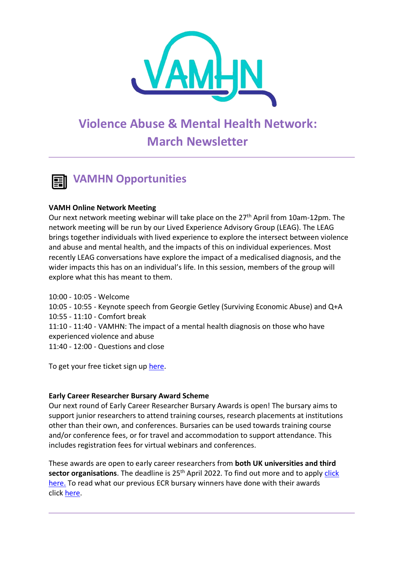

# **Violence Abuse & Mental Health Network: March Newsletter**



#### **VAMH Online Network Meeting**

Our next network meeting webinar will take place on the 27<sup>th</sup> April from 10am-12pm. The network meeting will be run by our Lived Experience Advisory Group (LEAG). The LEAG brings together individuals with lived experience to explore the intersect between violence and abuse and mental health, and the impacts of this on individual experiences. Most recently LEAG conversations have explore the impact of a medicalised diagnosis, and the wider impacts this has on an individual's life. In this session, members of the group will explore what this has meant to them.

10:00 - 10:05 - Welcome 10:05 - 10:55 - Keynote speech from Georgie Getley (Surviving Economic Abuse) and Q+A 10:55 - 11:10 - Comfort break 11:10 - 11:40 - VAMHN: The impact of a mental health diagnosis on those who have experienced violence and abuse 11:40 - 12:00 - Questions and close

To get your free ticket sign up [here.](https://www.eventbrite.co.uk/e/violence-abuse-and-mental-health-network-meeting-tickets-313307941487)

#### **Early Career Researcher Bursary Award Scheme**

Our next round of Early Career Researcher Bursary Awards is open! The bursary aims to support junior researchers to attend training courses, research placements at institutions other than their own, and conferences. Bursaries can be used towards training course and/or conference fees, or for travel and accommodation to support attendance. This includes registration fees for virtual webinars and conferences.

These awards are open to early career researchers from **both UK universities and third sector organisations**. The deadline is 25<sup>th</sup> April 2022. To find out more and to apply click [here.](https://www.vamhn.co.uk/ecr-bursaries.html) To read what our previous ECR bursary winners have done with their awards click [here.](http://www.vamhn.co.uk/blog/category/vamhn-bursary-award-blogs)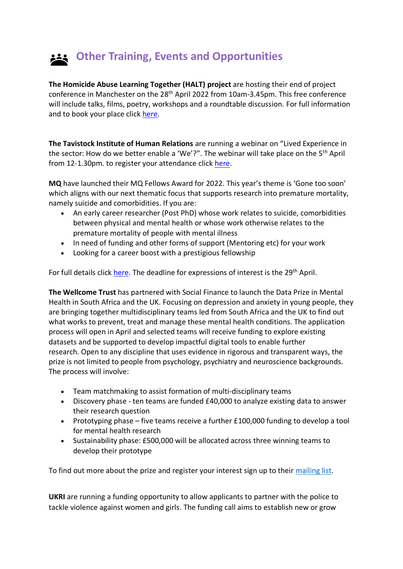# **Other Training, Events and Opportunities**

**The Homicide Abuse Learning Together (HALT) project** are hosting their end of project conference in Manchester on the 28<sup>th</sup> April 2022 from 10am-3.45pm. This free conference will include talks, films, poetry, workshops and a roundtable discussion. For full information and to book your place click [here.](https://whova.com/web/haltc_202204/)

**The Tavistock Institute of Human Relations** are running a webinar on "Lived Experience in the sector: How do we better enable a 'We'?". The webinar will take place on the 5<sup>th</sup> April from 12-1.30pm. to register your attendance click [here.](https://www.eventbrite.co.uk/e/lived-experience-in-the-sector-how-do-we-better-enable-a-we-lisa-ward-tickets-295388072677)

**MQ** have launched their MQ Fellows Award for 2022. This year's theme is 'Gone too soon' which aligns with our next thematic focus that supports research into premature mortality, namely suicide and comorbidities. If you are:

- An early career researcher (Post PhD) whose work relates to suicide, comorbidities between physical and mental health or whose work otherwise relates to the premature mortality of people with mental illness
- In need of funding and other forms of support (Mentoring etc) for your work
- Looking for a career boost with a prestigious fellowship

For full details click [here.](https://www.mqmentalhealth.org/research-programmes/fellows-award/) The deadline for expressions of interest is the 29<sup>th</sup> April.

**The Wellcome Trust** has partnered with Social Finance to launch the Data Prize in Mental Health in South Africa and the UK. Focusing on depression and anxiety in young people, they are bringing together multidisciplinary teams led from South Africa and the UK to find out what works to prevent, treat and manage these mental health conditions. The application process will open in April and selected teams will receive funding to explore existing datasets and be supported to develop impactful digital tools to enable further research. Open to any discipline that uses evidence in rigorous and transparent ways, the prize is not limited to people from psychology, psychiatry and neuroscience backgrounds. The process will involve:

- Team matchmaking to assist formation of multi-disciplinary teams
- Discovery phase ten teams are funded £40,000 to analyze existing data to answer their research question
- Prototyping phase five teams receive a further £100,000 funding to develop a tool for mental health research
- Sustainability phase: £500,000 will be allocated across three winning teams to develop their prototype

To find out more about the prize and register your interest sign up to their [mailing list.](https://eur03.safelinks.protection.outlook.com/?url=https%3A%2F%2Fmailchi.mp%2Fsocialfinance%2Fj7h6pbzug2&data=04%7C01%7Canjuli.1.kaul%40kcl.ac.uk%7Cdc14fa2626ee4c058e1f08d9fdbf1f04%7C8370cf1416f34c16b83c724071654356%7C0%7C0%7C637819819578581712%7CUnknown%7CTWFpbGZsb3d8eyJWIjoiMC4wLjAwMDAiLCJQIjoiV2luMzIiLCJBTiI6Ik1haWwiLCJXVCI6Mn0%3D%7C3000&sdata=SJiD0LI8mL9nqHgpRZ5lJNdn20mAN88bJPm7W6QuVIg%3D&reserved=0)

**UKRI** are running a funding opportunity to allow applicants to partner with the police to tackle violence against women and girls. The funding call aims to establish new or grow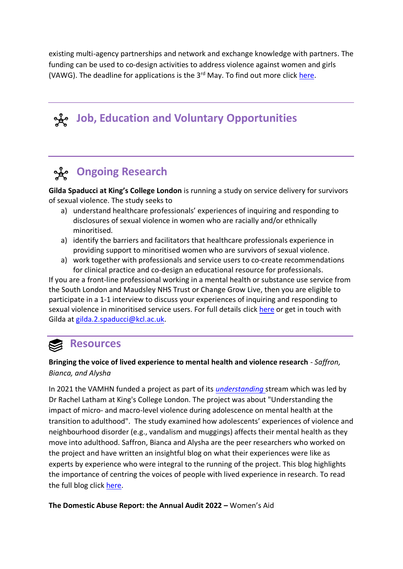existing multi-agency partnerships and network and exchange knowledge with partners. The funding can be used to co-design activities to address violence against women and girls (VAWG). The deadline for applications is the 3<sup>rd</sup> May. To find out more click [here.](https://www.ukri.org/opportunity/partner-with-the-police-to-tackle-violence-against-women-and-girls/?utm_medium=email&utm_source=govdelivery)

# **Job, Education and Voluntary Opportunities**

## **Ongoing Research**

**Gilda Spaducci at King's College London** is running a study on service delivery for survivors of sexual violence. The study seeks to

- a) understand healthcare professionals' experiences of inquiring and responding to disclosures of sexual violence in women who are racially and/or ethnically minoritised.
- a) identify the barriers and facilitators that healthcare professionals experience in providing support to minoritised women who are survivors of sexual violence.
- a) work together with professionals and service users to co-create recommendations for clinical practice and co-design an educational resource for professionals.

If you are a front-line professional working in a mental health or substance use service from the South London and Maudsley NHS Trust or Change Grow Live, then you are eligible to participate in a 1-1 interview to discuss your experiences of inquiring and responding to sexual violence in minoritised service users. For full details click [here](https://twitter.com/GSpaducci/status/1507006775693783041) or get in touch with Gilda at [gilda.2.spaducci@kcl.ac.uk.](mailto:gilda.2.spaducci@kcl.ac.uk)

## **Resources**

#### **Bringing the voice of lived experience to mental health and violence research** - *Saffron, Bianca, and Alysha*

In 2021 the VAMHN funded a project as part of its *[understanding](https://www.vamhn.co.uk/funded-research.html)* stream which was led by Dr Rachel Latham at King's College London. The project was about "Understanding the impact of micro- and macro-level violence during adolescence on mental health at the transition to adulthood". The study examined how adolescents' experiences of violence and neighbourhood disorder (e.g., vandalism and muggings) affects their mental health as they move into adulthood. Saffron, Bianca and Alysha are the peer researchers who worked on the project and have written an insightful blog on what their experiences were like as experts by experience who were integral to the running of the project. This blog highlights the importance of centring the voices of people with lived experience in research. To read the full blog click [here.](https://www.kcl.ac.uk/bringing-the-voice-of-lived-experience-to-mental-health-and-violence-research)

**The Domestic Abuse Report: the Annual Audit 2022 –** Women's Aid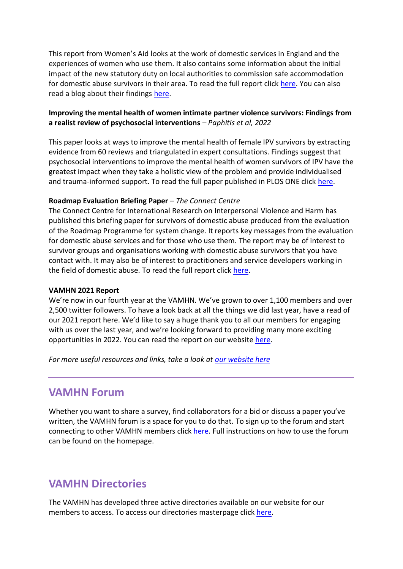This report from Women's Aid looks at the work of domestic services in England and the experiences of women who use them. It also contains some information about the initial impact of the new statutory duty on local authorities to commission safe accommodation for domestic abuse survivors in their area. To read the full report click [here.](https://www.womensaid.org.uk/evidence-hub/research-and-publications/the-domestic-abuse-report/) You can also read a blog about their findings [here.](https://www.womensaid.org.uk/a-year-in-focus-the-annual-audit-of-domestic-abuse-services-in-england/)

#### **Improving the mental health of women intimate partner violence survivors: Findings from a realist review of psychosocial interventions** *– Paphitis et al, 2022*

This paper looks at ways to improve the mental health of female IPV survivors by extracting evidence from 60 reviews and triangulated in expert consultations. Findings suggest that psychosocial interventions to improve the mental health of women survivors of IPV have the greatest impact when they take a holistic view of the problem and provide individualised and trauma-informed support. To read the full paper published in PLOS ONE click [here.](https://journals.plos.org/plosone/article?id=10.1371/journal.pone.0264845)

#### **Roadmap Evaluation Briefing Paper** – *The Connect Centre*

The Connect Centre for International Research on Interpersonal Violence and Harm has published this briefing paper for survivors of domestic abuse produced from the evaluation of the Roadmap Programme for system change. It reports key messages from the evaluation for domestic abuse services and for those who use them. The report may be of interest to survivor groups and organisations working with domestic abuse survivors that you have contact with. It may also be of interest to practitioners and service developers working in the field of domestic abuse. To read the full report click [here.](https://www.womensaid.org.uk/wp-content/uploads/2022/03/Roadmap-Evaluation-Survivor-Briefing-Paper-final8-3-22.pdf)

#### **VAMHN 2021 Report**

We're now in our fourth year at the VAMHN. We've grown to over 1,100 members and over 2,500 twitter followers. To have a look back at all the things we did last year, have a read of our 2021 report here. We'd like to say a huge thank you to all our members for engaging with us over the last year, and we're looking forward to providing many more exciting opportunities in 2022. You can read the report on our website [here.](https://www.vamhn.co.uk/past-events.html)

*For more useful resources and links, take a look at [our website here](about:blank)*

### **VAMHN Forum**

Whether you want to share a survey, find collaborators for a bid or discuss a paper you've written, the VAMHN forum is a space for you to do that. To sign up to the forum and start connecting to other VAMHN members click [here.](https://vamhn6.wixsite.com/forum) Full instructions on how to use the forum can be found on the homepage.

## **VAMHN Directories**

The VAMHN has developed three active directories available on our website for our members to access. To access our directories masterpage click [here.](http://www.vamhn.co.uk/directories.html)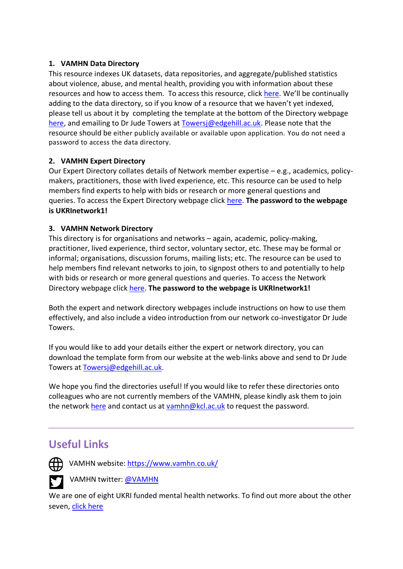#### **1. VAMHN Data Directory**

This resource indexes UK datasets, data repositories, and aggregate/published statistics about violence, abuse, and mental health, providing you with information about these resources and how to access them. To access this resource, click [here](about:blank). We'll be continually adding to the data directory, so if you know of a resource that we haven't yet indexed, please tell us about it by completing the template at the bottom of the Directory webpage [here,](about:blank) and emailing to Dr Jude Towers at [Towersj@edgehill.ac.uk.](mailto:Towersj@edgehill.ac.uk) Please note that the resource should be either publicly available or available upon application. You do not need a password to access the data directory.

#### **2. VAMHN Expert Directory**

Our Expert Directory collates details of Network member expertise – e.g., academics, policymakers, practitioners, those with lived experience, etc. This resource can be used to help members find experts to help with bids or research or more general questions and queries. To access the Expert Directory webpage click [here.](https://eur03.safelinks.protection.outlook.com/?url=http%3A%2F%2Fwww.vamhn.co.uk%2Fexpert-directory.html&data=04%7C01%7Cvamhn%40kcl.ac.uk%7Ca698467a69994c7b1d3608d93faa0150%7C8370cf1416f34c16b83c724071654356%7C0%7C0%7C637610821666076220%7CUnknown%7CTWFpbGZsb3d8eyJWIjoiMC4wLjAwMDAiLCJQIjoiV2luMzIiLCJBTiI6Ik1haWwiLCJXVCI6Mn0%3D%7C1000&sdata=7i15Fcr0PZl%2Bz4LWqeGwy8mxFxq6cEVgikE47ufXHVk%3D&reserved=0) **The password to the webpage is UKRInetwork1!**

#### **3. VAMHN Network Directory**

This directory is for organisations and networks – again, academic, policy-making, practitioner, lived experience, third sector, voluntary sector, etc. These may be formal or informal; organisations, discussion forums, mailing lists; etc. The resource can be used to help members find relevant networks to join, to signpost others to and potentially to help with bids or research or more general questions and queries. To access the Network Directory webpage click [here.](https://eur03.safelinks.protection.outlook.com/?url=http%3A%2F%2Fwww.vamhn.co.uk%2Fnetwork-directory.html&data=04%7C01%7Cvamhn%40kcl.ac.uk%7Ca698467a69994c7b1d3608d93faa0150%7C8370cf1416f34c16b83c724071654356%7C0%7C0%7C637610821666086211%7CUnknown%7CTWFpbGZsb3d8eyJWIjoiMC4wLjAwMDAiLCJQIjoiV2luMzIiLCJBTiI6Ik1haWwiLCJXVCI6Mn0%3D%7C1000&sdata=gPOPvWPmVZ%2FtS2Hy4S3BkI0VNwOneADfYfdNpIeMC2g%3D&reserved=0) **The password to the webpage is UKRInetwork1!**

Both the expert and network directory webpages include instructions on how to use them effectively, and also include a video introduction from our network co-investigator Dr Jude Towers.

If you would like to add your details either the expert or network directory, you can download the template form from our website at the web-links above and send to Dr Jude Towers at [Towersj@edgehill.ac.uk](mailto:Towersj@edgehill.ac.uk).

We hope you find the directories useful! If you would like to refer these directories onto colleagues who are not currently members of the VAMHN, please kindly ask them to join the network [here](https://eur03.safelinks.protection.outlook.com/?url=http%3A%2F%2Fwww.vamhn.co.uk%2Fjoin-the-network.html&data=04%7C01%7Cvamhn%40kcl.ac.uk%7Ca698467a69994c7b1d3608d93faa0150%7C8370cf1416f34c16b83c724071654356%7C0%7C0%7C637610821666096207%7CUnknown%7CTWFpbGZsb3d8eyJWIjoiMC4wLjAwMDAiLCJQIjoiV2luMzIiLCJBTiI6Ik1haWwiLCJXVCI6Mn0%3D%7C1000&sdata=CSqhbzIFkiWOdWpxFoDCCCRlK73ldG1qKXnLM1XM4lg%3D&reserved=0) and contact us at [vamhn@kcl.ac.uk](mailto:vamhn@kcl.ac.ukl) to request the password.

## **Useful Links**



(\) VAMHN website: [https://www.vamhn.co.uk/](about:blank)

VAMHN twitter: [@VAMHN](about:blank)

We are one of eight UKRI funded mental health networks. To find out more about the other seven, [click here](about:blank)